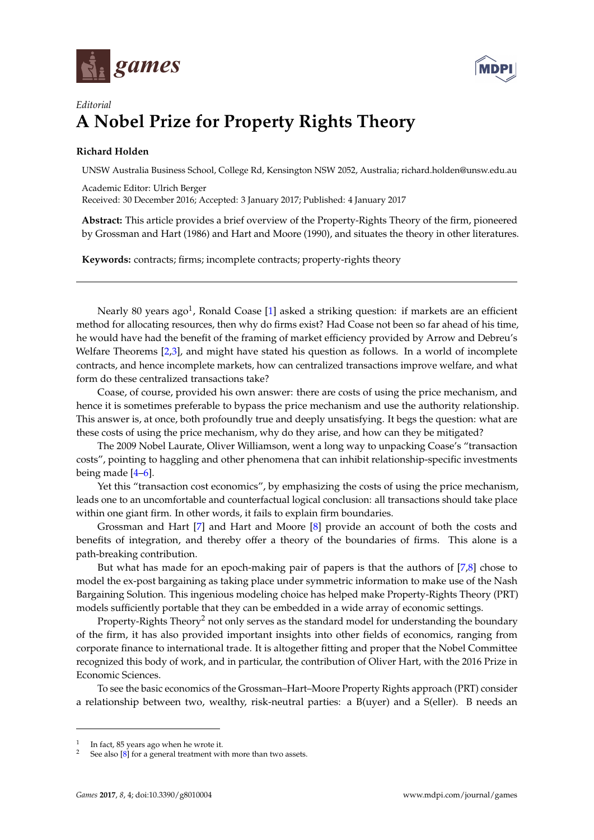



## *Editorial* **A Nobel Prize for Property Rights Theory**

## **Richard Holden**

UNSW Australia Business School, College Rd, Kensington NSW 2052, Australia; richard.holden@unsw.edu.au

Academic Editor: Ulrich Berger Received: 30 December 2016; Accepted: 3 January 2017; Published: 4 January 2017

**Abstract:** This article provides a brief overview of the Property-Rights Theory of the firm, pioneered by Grossman and Hart (1986) and Hart and Moore (1990), and situates the theory in other literatures.

**Keywords:** contracts; firms; incomplete contracts; property-rights theory

Nearly 80 years ago<sup>1</sup>, Ronald Coase [\[1\]](#page-2-0) asked a striking question: if markets are an efficient method for allocating resources, then why do firms exist? Had Coase not been so far ahead of his time, he would have had the benefit of the framing of market efficiency provided by Arrow and Debreu's Welfare Theorems [\[2](#page-2-1)[,3\]](#page-2-2), and might have stated his question as follows. In a world of incomplete contracts, and hence incomplete markets, how can centralized transactions improve welfare, and what form do these centralized transactions take?

Coase, of course, provided his own answer: there are costs of using the price mechanism, and hence it is sometimes preferable to bypass the price mechanism and use the authority relationship. This answer is, at once, both profoundly true and deeply unsatisfying. It begs the question: what are these costs of using the price mechanism, why do they arise, and how can they be mitigated?

The 2009 Nobel Laurate, Oliver Williamson, went a long way to unpacking Coase's "transaction costs", pointing to haggling and other phenomena that can inhibit relationship-specific investments being made [\[4–](#page-2-3)[6\]](#page-2-4).

Yet this "transaction cost economics", by emphasizing the costs of using the price mechanism, leads one to an uncomfortable and counterfactual logical conclusion: all transactions should take place within one giant firm. In other words, it fails to explain firm boundaries.

Grossman and Hart [\[7\]](#page-2-5) and Hart and Moore [\[8\]](#page-2-6) provide an account of both the costs and benefits of integration, and thereby offer a theory of the boundaries of firms. This alone is a path-breaking contribution.

But what has made for an epoch-making pair of papers is that the authors of [\[7,](#page-2-5)[8\]](#page-2-6) chose to model the ex-post bargaining as taking place under symmetric information to make use of the Nash Bargaining Solution. This ingenious modeling choice has helped make Property-Rights Theory (PRT) models sufficiently portable that they can be embedded in a wide array of economic settings.

Property-Rights Theory<sup>2</sup> not only serves as the standard model for understanding the boundary of the firm, it has also provided important insights into other fields of economics, ranging from corporate finance to international trade. It is altogether fitting and proper that the Nobel Committee recognized this body of work, and in particular, the contribution of Oliver Hart, with the 2016 Prize in Economic Sciences.

To see the basic economics of the Grossman–Hart–Moore Property Rights approach (PRT) consider a relationship between two, wealthy, risk-neutral parties: a B(uyer) and a S(eller). B needs an

<sup>1</sup> In fact, 85 years ago when he wrote it.

 $2$  See also  $[8]$  for a general treatment with more than two assets.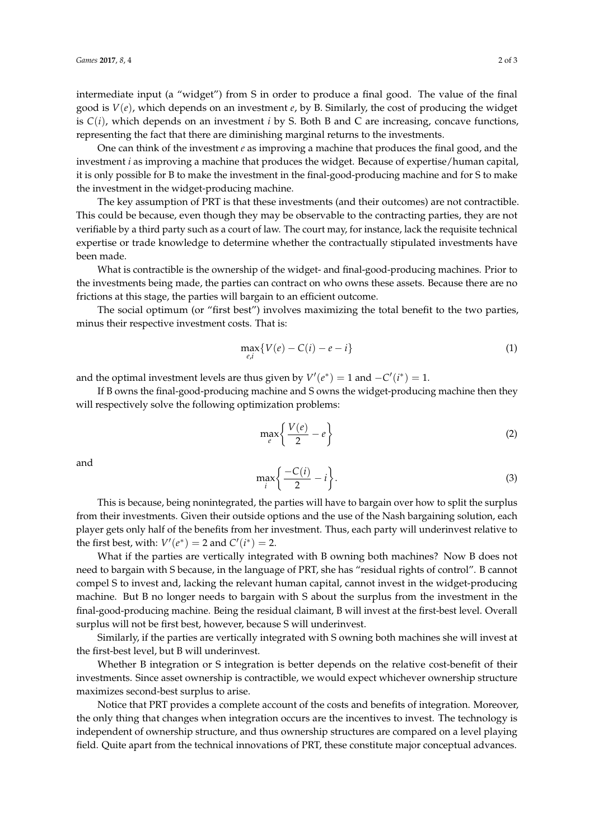intermediate input (a "widget") from S in order to produce a final good. The value of the final good is *V*(*e*), which depends on an investment *e*, by B. Similarly, the cost of producing the widget is *C*(*i*), which depends on an investment *i* by S. Both B and C are increasing, concave functions, representing the fact that there are diminishing marginal returns to the investments.

One can think of the investment *e* as improving a machine that produces the final good, and the investment *i* as improving a machine that produces the widget. Because of expertise/human capital, it is only possible for B to make the investment in the final-good-producing machine and for S to make the investment in the widget-producing machine.

The key assumption of PRT is that these investments (and their outcomes) are not contractible. This could be because, even though they may be observable to the contracting parties, they are not verifiable by a third party such as a court of law. The court may, for instance, lack the requisite technical expertise or trade knowledge to determine whether the contractually stipulated investments have been made.

What is contractible is the ownership of the widget- and final-good-producing machines. Prior to the investments being made, the parties can contract on who owns these assets. Because there are no frictions at this stage, the parties will bargain to an efficient outcome.

The social optimum (or "first best") involves maximizing the total benefit to the two parties, minus their respective investment costs. That is:

$$
\max_{e,i} \{ V(e) - C(i) - e - i \}
$$
 (1)

and the optimal investment levels are thus given by  $V'(e^*) = 1$  and  $-C'(i^*) = 1$ .

If B owns the final-good-producing machine and S owns the widget-producing machine then they will respectively solve the following optimization problems:

$$
\max_{e} \left\{ \frac{V(e)}{2} - e \right\} \tag{2}
$$

and

$$
\max_{i} \left\{ \frac{-C(i)}{2} - i \right\}.
$$
 (3)

This is because, being nonintegrated, the parties will have to bargain over how to split the surplus from their investments. Given their outside options and the use of the Nash bargaining solution, each player gets only half of the benefits from her investment. Thus, each party will underinvest relative to the first best, with:  $V'(e^*) = 2$  and  $C'(i^*) = 2$ .

What if the parties are vertically integrated with B owning both machines? Now B does not need to bargain with S because, in the language of PRT, she has "residual rights of control". B cannot compel S to invest and, lacking the relevant human capital, cannot invest in the widget-producing machine. But B no longer needs to bargain with S about the surplus from the investment in the final-good-producing machine. Being the residual claimant, B will invest at the first-best level. Overall surplus will not be first best, however, because S will underinvest.

Similarly, if the parties are vertically integrated with S owning both machines she will invest at the first-best level, but B will underinvest.

Whether B integration or S integration is better depends on the relative cost-benefit of their investments. Since asset ownership is contractible, we would expect whichever ownership structure maximizes second-best surplus to arise.

Notice that PRT provides a complete account of the costs and benefits of integration. Moreover, the only thing that changes when integration occurs are the incentives to invest. The technology is independent of ownership structure, and thus ownership structures are compared on a level playing field. Quite apart from the technical innovations of PRT, these constitute major conceptual advances.